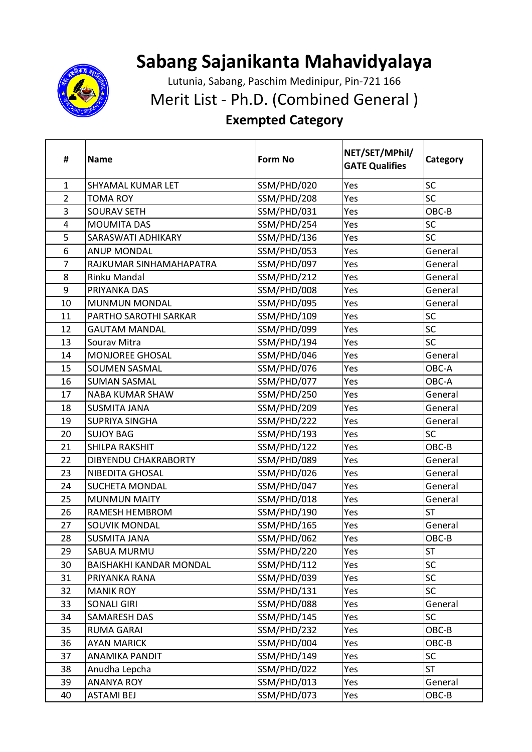

## **Sabang Sajanikanta Mahavidyalaya**

Lutunia, Sabang, Paschim Medinipur, Pin-721 166

Merit List - Ph.D. (Combined General )

## **Exempted Category**

| #              | <b>Name</b>                    | <b>Form No</b> | NET/SET/MPhil/<br><b>GATE Qualifies</b> | Category  |
|----------------|--------------------------------|----------------|-----------------------------------------|-----------|
| $\mathbf{1}$   | SHYAMAL KUMAR LET              | SSM/PHD/020    | Yes                                     | SC        |
| $\overline{2}$ | <b>TOMA ROY</b>                | SSM/PHD/208    | Yes                                     | SC        |
| 3              | <b>SOURAV SETH</b>             | SSM/PHD/031    | Yes                                     | OBC-B     |
| $\overline{4}$ | <b>MOUMITA DAS</b>             | SSM/PHD/254    | Yes                                     | SC        |
| 5              | SARASWATI ADHIKARY             | SSM/PHD/136    | Yes                                     | SC        |
| 6              | <b>ANUP MONDAL</b>             | SSM/PHD/053    | Yes                                     | General   |
| $\overline{7}$ | RAJKUMAR SINHAMAHAPATRA        | SSM/PHD/097    | Yes                                     | General   |
| 8              | Rinku Mandal                   | SSM/PHD/212    | Yes                                     | General   |
| 9              | PRIYANKA DAS                   | SSM/PHD/008    | Yes                                     | General   |
| 10             | <b>MUNMUN MONDAL</b>           | SSM/PHD/095    | Yes                                     | General   |
| 11             | PARTHO SAROTHI SARKAR          | SSM/PHD/109    | Yes                                     | SC        |
| 12             | <b>GAUTAM MANDAL</b>           | SSM/PHD/099    | Yes                                     | SC        |
| 13             | Sourav Mitra                   | SSM/PHD/194    | Yes                                     | <b>SC</b> |
| 14             | MONJOREE GHOSAL                | SSM/PHD/046    | Yes                                     | General   |
| 15             | <b>SOUMEN SASMAL</b>           | SSM/PHD/076    | Yes                                     | OBC-A     |
| 16             | <b>SUMAN SASMAL</b>            | SSM/PHD/077    | Yes                                     | OBC-A     |
| 17             | <b>NABA KUMAR SHAW</b>         | SSM/PHD/250    | Yes                                     | General   |
| 18             | <b>SUSMITA JANA</b>            | SSM/PHD/209    | Yes                                     | General   |
| 19             | <b>SUPRIYA SINGHA</b>          | SSM/PHD/222    | Yes                                     | General   |
| 20             | <b>SUJOY BAG</b>               | SSM/PHD/193    | Yes                                     | <b>SC</b> |
| 21             | SHILPA RAKSHIT                 | SSM/PHD/122    | Yes                                     | OBC-B     |
| 22             | <b>DIBYENDU CHAKRABORTY</b>    | SSM/PHD/089    | Yes                                     | General   |
| 23             | NIBEDITA GHOSAL                | SSM/PHD/026    | Yes                                     | General   |
| 24             | <b>SUCHETA MONDAL</b>          | SSM/PHD/047    | Yes                                     | General   |
| 25             | <b>MUNMUN MAITY</b>            | SSM/PHD/018    | Yes                                     | General   |
| 26             | <b>RAMESH HEMBROM</b>          | SSM/PHD/190    | Yes                                     | <b>ST</b> |
| 27             | SOUVIK MONDAL                  | SSM/PHD/165    | Yes                                     | General   |
| 28             | <b>SUSMITA JANA</b>            | SSM/PHD/062    | Yes                                     | OBC-B     |
| 29             | SABUA MURMU                    | SSM/PHD/220    | Yes                                     | <b>ST</b> |
| 30             | <b>BAISHAKHI KANDAR MONDAL</b> | SSM/PHD/112    | Yes                                     | SC        |
| 31             | PRIYANKA RANA                  | SSM/PHD/039    | Yes                                     | SC        |
| 32             | <b>MANIK ROY</b>               | SSM/PHD/131    | Yes                                     | SC        |
| 33             | <b>SONALI GIRI</b>             | SSM/PHD/088    | Yes                                     | General   |
| 34             | <b>SAMARESH DAS</b>            | SSM/PHD/145    | Yes                                     | <b>SC</b> |
| 35             | <b>RUMA GARAI</b>              | SSM/PHD/232    | Yes                                     | OBC-B     |
| 36             | <b>AYAN MARICK</b>             | SSM/PHD/004    | Yes                                     | OBC-B     |
| 37             | ANAMIKA PANDIT                 | SSM/PHD/149    | Yes                                     | <b>SC</b> |
| 38             | Anudha Lepcha                  | SSM/PHD/022    | Yes                                     | <b>ST</b> |
| 39             | <b>ANANYA ROY</b>              | SSM/PHD/013    | Yes                                     | General   |
| 40             | <b>ASTAMI BEJ</b>              | SSM/PHD/073    | Yes                                     | OBC-B     |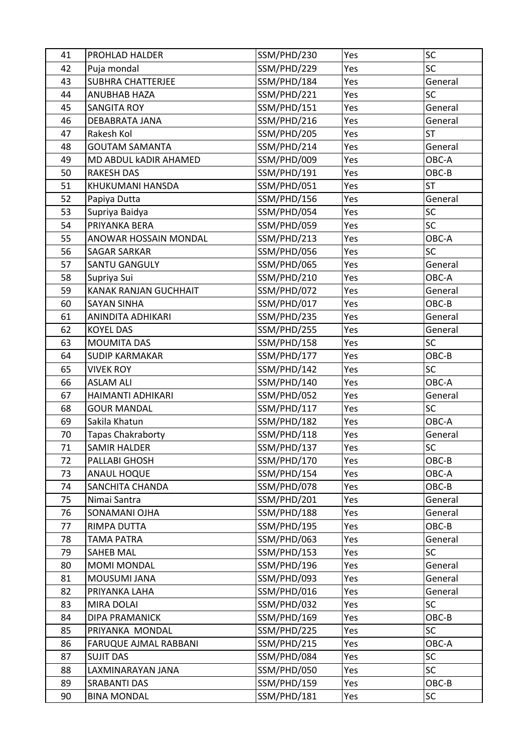| 41 | PROHLAD HALDER               | SSM/PHD/230 | Yes | SC        |
|----|------------------------------|-------------|-----|-----------|
| 42 | Puja mondal                  | SSM/PHD/229 | Yes | SC        |
| 43 | <b>SUBHRA CHATTERJEE</b>     | SSM/PHD/184 | Yes | General   |
| 44 | <b>ANUBHAB HAZA</b>          | SSM/PHD/221 | Yes | SC        |
| 45 | <b>SANGITA ROY</b>           | SSM/PHD/151 | Yes | General   |
| 46 | DEBABRATA JANA               | SSM/PHD/216 | Yes | General   |
| 47 | Rakesh Kol                   | SSM/PHD/205 | Yes | <b>ST</b> |
| 48 | <b>GOUTAM SAMANTA</b>        | SSM/PHD/214 | Yes | General   |
| 49 | MD ABDUL kADIR AHAMED        | SSM/PHD/009 | Yes | OBC-A     |
| 50 | <b>RAKESH DAS</b>            | SSM/PHD/191 | Yes | OBC-B     |
| 51 | KHUKUMANI HANSDA             | SSM/PHD/051 | Yes | <b>ST</b> |
| 52 | Papiya Dutta                 | SSM/PHD/156 | Yes | General   |
| 53 | Supriya Baidya               | SSM/PHD/054 | Yes | SC        |
| 54 | PRIYANKA BERA                | SSM/PHD/059 | Yes | SC        |
| 55 | ANOWAR HOSSAIN MONDAL        | SSM/PHD/213 | Yes | OBC-A     |
| 56 | <b>SAGAR SARKAR</b>          | SSM/PHD/056 | Yes | SC        |
| 57 | <b>SANTU GANGULY</b>         | SSM/PHD/065 | Yes | General   |
| 58 | Supriya Sui                  | SSM/PHD/210 | Yes | OBC-A     |
| 59 | <b>KANAK RANJAN GUCHHAIT</b> | SSM/PHD/072 | Yes | General   |
| 60 | <b>SAYAN SINHA</b>           | SSM/PHD/017 | Yes | OBC-B     |
| 61 | ANINDITA ADHIKARI            | SSM/PHD/235 | Yes | General   |
| 62 | <b>KOYEL DAS</b>             | SSM/PHD/255 | Yes | General   |
| 63 | <b>MOUMITA DAS</b>           | SSM/PHD/158 | Yes | <b>SC</b> |
| 64 | <b>SUDIP KARMAKAR</b>        | SSM/PHD/177 | Yes | OBC-B     |
| 65 | <b>VIVEK ROY</b>             | SSM/PHD/142 | Yes | SC        |
| 66 | <b>ASLAM ALI</b>             | SSM/PHD/140 | Yes | OBC-A     |
| 67 | HAIMANTI ADHIKARI            | SSM/PHD/052 | Yes | General   |
| 68 | <b>GOUR MANDAL</b>           | SSM/PHD/117 | Yes | SC        |
| 69 | Sakila Khatun                | SSM/PHD/182 | Yes | OBC-A     |
| 70 | <b>Tapas Chakraborty</b>     | SSM/PHD/118 | Yes | General   |
| 71 | <b>SAMIR HALDER</b>          | SSM/PHD/137 | Yes | SC        |
| 72 | PALLABI GHOSH                | SSM/PHD/170 | Yes | OBC-B     |
| 73 | ANAUL HOQUE                  | SSM/PHD/154 | Yes | OBC-A     |
| 74 | SANCHITA CHANDA              | SSM/PHD/078 | Yes | $OBC-B$   |
| 75 | Nimai Santra                 | SSM/PHD/201 | Yes | General   |
| 76 | SONAMANI OJHA                | SSM/PHD/188 | Yes | General   |
| 77 | RIMPA DUTTA                  | SSM/PHD/195 | Yes | OBC-B     |
| 78 | <b>TAMA PATRA</b>            | SSM/PHD/063 | Yes | General   |
| 79 | SAHEB MAL                    | SSM/PHD/153 | Yes | SC        |
| 80 | <b>MOMI MONDAL</b>           | SSM/PHD/196 | Yes | General   |
| 81 | MOUSUMI JANA                 | SSM/PHD/093 | Yes | General   |
| 82 | PRIYANKA LAHA                | SSM/PHD/016 | Yes | General   |
| 83 | <b>MIRA DOLAI</b>            | SSM/PHD/032 | Yes | SC        |
| 84 | <b>DIPA PRAMANICK</b>        | SSM/PHD/169 | Yes | OBC-B     |
| 85 | PRIYANKA MONDAL              | SSM/PHD/225 | Yes | <b>SC</b> |
| 86 | FARUQUE AJMAL RABBANI        | SSM/PHD/215 | Yes | OBC-A     |
| 87 | <b>SUJIT DAS</b>             | SSM/PHD/084 | Yes | SC        |
| 88 | LAXMINARAYAN JANA            | SSM/PHD/050 | Yes | SC        |
| 89 | <b>SRABANTI DAS</b>          | SSM/PHD/159 | Yes | OBC-B     |
| 90 | <b>BINA MONDAL</b>           | SSM/PHD/181 | Yes | SC        |
|    |                              |             |     |           |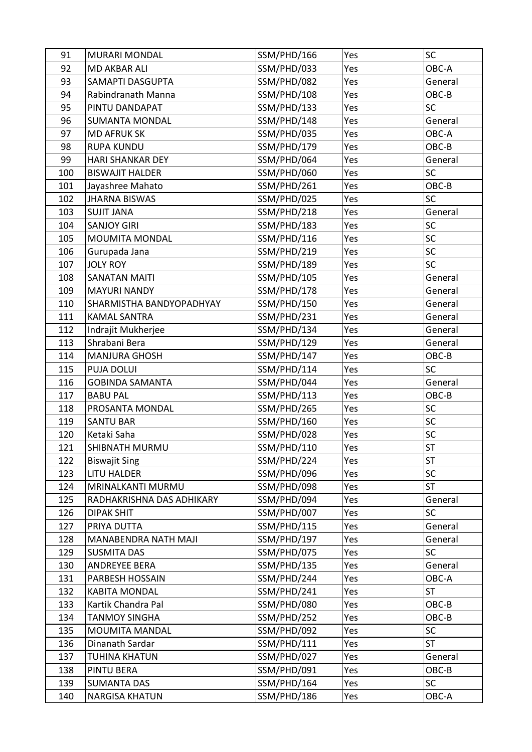| 91  | <b>MURARI MONDAL</b>      | SSM/PHD/166 | Yes | SC              |
|-----|---------------------------|-------------|-----|-----------------|
| 92  | <b>MD AKBAR ALI</b>       | SSM/PHD/033 | Yes | OBC-A           |
| 93  | SAMAPTI DASGUPTA          | SSM/PHD/082 | Yes | General         |
| 94  | Rabindranath Manna        | SSM/PHD/108 | Yes | OBC-B           |
| 95  | PINTU DANDAPAT            | SSM/PHD/133 | Yes | SC              |
| 96  | <b>SUMANTA MONDAL</b>     | SSM/PHD/148 | Yes | General         |
| 97  | <b>MD AFRUK SK</b>        | SSM/PHD/035 | Yes | OBC-A           |
| 98  | <b>RUPA KUNDU</b>         | SSM/PHD/179 | Yes | OBC-B           |
| 99  | <b>HARI SHANKAR DEY</b>   | SSM/PHD/064 | Yes | General         |
| 100 | <b>BISWAJIT HALDER</b>    | SSM/PHD/060 | Yes | <b>SC</b>       |
| 101 | Jayashree Mahato          | SSM/PHD/261 | Yes | OBC-B           |
| 102 | <b>JHARNA BISWAS</b>      | SSM/PHD/025 | Yes | SC              |
| 103 | <b>SUJIT JANA</b>         | SSM/PHD/218 | Yes | General         |
| 104 | <b>SANJOY GIRI</b>        | SSM/PHD/183 | Yes | SC              |
| 105 | <b>MOUMITA MONDAL</b>     | SSM/PHD/116 | Yes | SC              |
| 106 | Gurupada Jana             | SSM/PHD/219 | Yes | SC              |
| 107 | <b>JOLY ROY</b>           | SSM/PHD/189 | Yes | SC              |
| 108 | <b>SANATAN MAITI</b>      | SSM/PHD/105 | Yes | General         |
| 109 | <b>MAYURI NANDY</b>       | SSM/PHD/178 | Yes | General         |
| 110 | SHARMISTHA BANDYOPADHYAY  | SSM/PHD/150 | Yes | General         |
| 111 | <b>KAMAL SANTRA</b>       | SSM/PHD/231 | Yes | General         |
| 112 | Indrajit Mukherjee        | SSM/PHD/134 | Yes | General         |
| 113 | Shrabani Bera             | SSM/PHD/129 | Yes | General         |
| 114 | <b>MANJURA GHOSH</b>      | SSM/PHD/147 | Yes | OBC-B           |
| 115 | <b>PUJA DOLUI</b>         | SSM/PHD/114 | Yes | SC              |
| 116 | <b>GOBINDA SAMANTA</b>    | SSM/PHD/044 | Yes | General         |
| 117 | <b>BABU PAL</b>           | SSM/PHD/113 | Yes | OBC-B           |
| 118 | PROSANTA MONDAL           | SSM/PHD/265 | Yes | SC              |
| 119 | <b>SANTU BAR</b>          | SSM/PHD/160 | Yes | SC              |
| 120 | Ketaki Saha               | SSM/PHD/028 | Yes | SC              |
| 121 | SHIBNATH MURMU            |             | Yes |                 |
|     |                           | SSM/PHD/110 |     | ST<br><b>ST</b> |
| 122 | <b>Biswajit Sing</b>      | SSM/PHD/224 | Yes | SC              |
| 123 | <b>LITU HALDER</b>        | SSM/PHD/096 | Yes |                 |
| 124 | MRINALKANTI MURMU         | SSM/PHD/098 | Yes | <b>ST</b>       |
| 125 | RADHAKRISHNA DAS ADHIKARY | SSM/PHD/094 | Yes | General         |
| 126 | <b>DIPAK SHIT</b>         | SSM/PHD/007 | Yes | <b>SC</b>       |
| 127 | PRIYA DUTTA               | SSM/PHD/115 | Yes | General         |
| 128 | MANABENDRA NATH MAJI      | SSM/PHD/197 | Yes | General         |
| 129 | <b>SUSMITA DAS</b>        | SSM/PHD/075 | Yes | SC              |
| 130 | <b>ANDREYEE BERA</b>      | SSM/PHD/135 | Yes | General         |
| 131 | PARBESH HOSSAIN           | SSM/PHD/244 | Yes | OBC-A           |
| 132 | <b>KABITA MONDAL</b>      | SSM/PHD/241 | Yes | <b>ST</b>       |
| 133 | Kartik Chandra Pal        | SSM/PHD/080 | Yes | OBC-B           |
| 134 | <b>TANMOY SINGHA</b>      | SSM/PHD/252 | Yes | OBC-B           |
| 135 | MOUMITA MANDAL            | SSM/PHD/092 | Yes | SC              |
| 136 | Dinanath Sardar           | SSM/PHD/111 | Yes | <b>ST</b>       |
| 137 | TUHINA KHATUN             | SSM/PHD/027 | Yes | General         |
| 138 | PINTU BERA                | SSM/PHD/091 | Yes | OBC-B           |
| 139 | <b>SUMANTA DAS</b>        | SSM/PHD/164 | Yes | <b>SC</b>       |
| 140 | <b>NARGISA KHATUN</b>     | SSM/PHD/186 | Yes | OBC-A           |